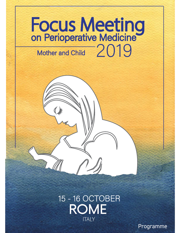## 2019 **Mother and Child**

## 15 - 16 OCTOBER **ITAIY**

Programme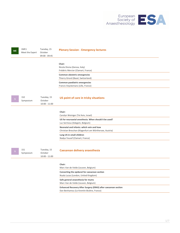

| <b>ME</b> | 1ME1<br>Meet the Expert | Tuesday, 15<br>October<br>09:00 - 09:45   | <b>Plenary Session - Emergency lectures</b>                                                        |
|-----------|-------------------------|-------------------------------------------|----------------------------------------------------------------------------------------------------|
|           |                         |                                           | Chair:<br>Nicola Disma (Genoa, Italy)<br>Frédéric Mercier (Clamart, France)                        |
|           |                         |                                           | Common obstetric emergencies<br>Thierry Girard (Basel, Switzerland)                                |
|           |                         |                                           | Common paediatric emergencies<br>Francis Veyckemans (Lille, France)                                |
|           | <b>1S2</b><br>Symposium | Tuesday, 15<br>October<br>$10:00 - 11:00$ | US point of care in tricky situations                                                              |
|           |                         |                                           | Chair:<br>Carolyn Weiniger (Tel Aviv, Israel)                                                      |
|           |                         |                                           | US for neuroaxial anesthesia. When should it be used?<br>Luc Sermeus (Edegem, Belgium)             |
|           |                         |                                           | Neonatal and infants: which vein and how<br>Christian Breschan (Klagenfurt am Wörthersee, Austria) |
|           |                         |                                           | Lung US in small children<br>Nadya Yousef (Clamart, France)                                        |
|           | <b>1S1</b><br>Symposium | Tuesday, 15<br>October<br>$10:00 - 11:00$ | Caesarean delivery anaesthesia                                                                     |
|           |                         |                                           | Chair:<br>Marc Van de Velde (Leuven, Belgium)                                                      |
|           |                         |                                           | Converting the epidural for caesarean section<br>Nuala Lucas (London, United Kingdom)              |
|           |                         |                                           | Safe general anaesthesia for mums<br>Marc Van de Velde (Leuven, Belgium)                           |
|           |                         |                                           | Enhanced Recovery After Surgery (ERAS) after caesarean section                                     |

Dan Benhamou (Le Kremlin Bicêtre, France)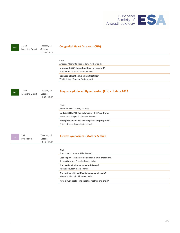

| <b>ME</b> | 1ME2<br>Meet the Expert | Tuesday, 15<br>October<br>$11:30 - 12:15$ | <b>Congenital Heart Diseases (CHD)</b>                                                                                                                                         |
|-----------|-------------------------|-------------------------------------------|--------------------------------------------------------------------------------------------------------------------------------------------------------------------------------|
|           |                         |                                           | Chair:<br>Andreas Machotta (Rotterdam, Netherlands)<br>Mums with CHD: how should we be prepared?<br>Dominique Chassard (Bron, France)<br>Neonatal CHD: the immediate treatment |
| <b>ME</b> | 1ME3<br>Meet the Expert | Tuesday, 15<br>October<br>$11:30 - 12:15$ | Walid Habre (Geneva, Switzerland)<br><b>Pregnancy-Induced Hypertension (PIH) - Update 2019</b>                                                                                 |
|           |                         |                                           | Chair:<br>Herve Bouaziz (Nancy, France)<br>Update 2019: PIH, Pre-eclampsia, HELLP syndrome                                                                                     |
|           |                         |                                           | Hawa Keita Meyer (Colombes, France)<br>Emergency anaesthesia in the pre-eclamptic patient<br>Thierry Girard (Basel, Switzerland)                                               |
|           | <b>1S4</b><br>Symposium | Tuesday, 15<br>October<br>$14:15 - 15:15$ | Airway symposium - Mother & Child                                                                                                                                              |
|           |                         |                                           | Chair:<br>Francis Veyckemans (Lille, France)                                                                                                                                   |
|           |                         |                                           | Case Report - The extreme situation: EXIT procedure<br>Sergio Giuseppe Picardo (Rome, Italy)                                                                                   |
|           |                         |                                           | The paediatric airway: what is different?<br>Nada Sabourdin (Paris, France)                                                                                                    |
|           |                         |                                           | The mother with a difficult airway: what to do?<br>Massimo Micaglio (Florence, Italy)                                                                                          |
|           |                         |                                           | New airway tools - one that fits mother and child?                                                                                                                             |
|           |                         |                                           |                                                                                                                                                                                |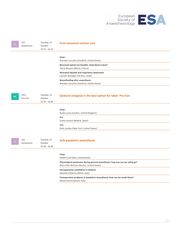

|     | <b>1S3</b><br>Symposium | Tuesday, 15<br>October<br>$14:15 - 15:15$ | <b>Post-caesarean section care</b>                                                                                         |
|-----|-------------------------|-------------------------------------------|----------------------------------------------------------------------------------------------------------------------------|
|     |                         |                                           | Chair:<br>Brendan Carvalho (Stanford, United States)                                                                       |
|     |                         |                                           | Neuraxial opioid not feasible: what block is best?<br>Herve Bouaziz (Nancy, France)                                        |
|     |                         |                                           | <b>Neuraxial Opioids and respiratory depression</b><br>Carolyn Weiniger (Tel Aviv, Israel)                                 |
|     |                         |                                           | Breastfeeding after anaesthesia<br>Brendan Carvalho (Stanford, United States)                                              |
| PC. | 1PC1<br>Pro-Con         | Tuesday, 15<br>October<br>15:30 - 16:30   | Epidural analgesia is the best option for labor: Pro-Con                                                                   |
|     |                         |                                           | Chair:<br>Nuala Lucas (London, United Kingdom)                                                                             |
|     |                         |                                           | Pro<br>Emilia Guasch (Madrid, Spain)                                                                                       |
|     |                         |                                           | Con<br>Ruth Landau (New York, United States)                                                                               |
|     | <b>1S5</b><br>Symposium | Tuesday, 15<br>October<br>15:30 - 16:30   | Safe paediatric anaesthesia                                                                                                |
|     |                         |                                           | Chair:<br>Robert Greif (Bern, Switzerland)                                                                                 |
|     |                         |                                           | Physiological parameter during general anaesthesia: how low can we safely go?<br>Mary Ellen McCann (Boston, United States) |
|     |                         |                                           | Intraoperative ventilation in children<br>Edoardo Calderini (Milan, Italy)                                                 |
|     |                         |                                           | Postoperative problems in paediatric anaesthesia: how can we avoid them?<br>Nicola Disma (Genoa, Italy)                    |
|     |                         |                                           |                                                                                                                            |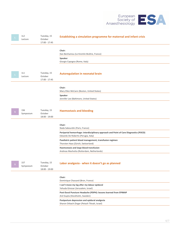

| 1L2<br>Lecture          | Tuesday, 15<br>October<br>$17:00 - 17:45$ | Establishing a simulation programme for maternal and infant crisis                                                                                               |
|-------------------------|-------------------------------------------|------------------------------------------------------------------------------------------------------------------------------------------------------------------|
|                         |                                           | Chair:<br>Dan Benhamou (Le Kremlin Bicêtre, France)                                                                                                              |
|                         |                                           | Speaker<br>Giorgio Capogna (Rome, Italy)                                                                                                                         |
| 1L1<br>Lecture          | Tuesday, 15<br>October<br>$17:00 - 17:45$ | <b>Autoregulation in neonatal brain</b>                                                                                                                          |
|                         |                                           | Chair:<br>Mary Ellen McCann (Boston, United States)                                                                                                              |
|                         |                                           | Speaker<br>Jennifer Lee (Baltimore, United States)                                                                                                               |
| <b>1S6</b><br>Symposium | Tuesday, 15<br>October<br>18:00 - 19:00   | <b>Haemostasis and bleeding</b>                                                                                                                                  |
|                         |                                           | Chair:                                                                                                                                                           |
|                         |                                           | Nada Sabourdin (Paris, France)<br>Peripartal hemorrhage: interdisciplinary approach and Point of Care Diagnostics (POCD)<br>Edoardo De Robertis (Perugia, Italy) |
|                         |                                           | Paediatric patient blood management, transfusion regimen<br>Thorsten Haas (Zürich, Switzerland)                                                                  |
|                         |                                           | Haemostasis and large blood transfusion<br>Andreas Machotta (Rotterdam, Netherlands)                                                                             |
| <b>1S7</b><br>Symposium | Tuesday, 15<br>October<br>18:00 - 19:00   | Labor analgesia - when it doesn't go as planned                                                                                                                  |
|                         |                                           | Chair:<br>Dominique Chassard (Bron, France)                                                                                                                      |
|                         |                                           | I can't move my leg after my labour epidural<br>Yehuda Ginosar (Jerusalem, Israel)                                                                               |
|                         |                                           | Post-Dural Puncture Headache (PDPH): lessons learned from EPIMAP<br>Anil Gupta (Stockholm, Sweden)                                                               |
|                         |                                           | Postpartum depression and epidural analgesia<br>Sharon Orbach-Zinger (Petach Tikvah, Israel)                                                                     |
|                         |                                           |                                                                                                                                                                  |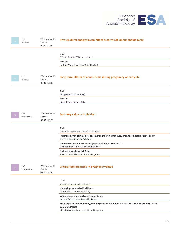

| 2L1<br>Lecture          | Wednesday, 16<br>October<br>$08:30 - 09:15$ | How epidural analgesia can effect progress of labour and delivery                                                                                                                                                                                                                                                                                                                                 |
|-------------------------|---------------------------------------------|---------------------------------------------------------------------------------------------------------------------------------------------------------------------------------------------------------------------------------------------------------------------------------------------------------------------------------------------------------------------------------------------------|
|                         |                                             | Chair:<br>Frédéric Mercier (Clamart, France)<br>Speaker<br>Cynthia Wong (Iowa City, United States)                                                                                                                                                                                                                                                                                                |
| 2L2<br>Lecture          | Wednesday, 16<br>October<br>$08:30 - 09:15$ | Long term effects of anaesthesia during pregnancy or early life                                                                                                                                                                                                                                                                                                                                   |
|                         |                                             | Chair:<br>Giorgio Conti (Rome, Italy)<br>Speaker<br>Nicola Disma (Genoa, Italy)                                                                                                                                                                                                                                                                                                                   |
| <b>2S1</b><br>Symposium | Wednesday, 16<br>October<br>$09:30 - 10:30$ | Post surgical pain in children                                                                                                                                                                                                                                                                                                                                                                    |
|                         |                                             | Chair:<br>Tom Giedsing Hansen (Odense, Denmark)<br>Pharmacology of pain medications in small children: what every anaesthesiologist needs to know<br>Karel Allegaert (Leuven, Belgium)<br>Paracetamol, NSAIDs and co-analgesics in children: what's best?<br>Sunno Simmons (Rotterdam, Netherlands)<br>Regional anaesthesia in infants<br>Steve Roberts (Liverpool, United Kingdom)               |
| <b>2S2</b><br>Symposium | Wednesday, 16<br>October<br>$09:30 - 10:30$ | <b>Critical care medicine in pregnant women</b>                                                                                                                                                                                                                                                                                                                                                   |
|                         |                                             | Chair:<br>Sharon Einav (Jerusalem, Israel)<br>Identifying maternal critical illness<br>Sharon Einav (Jerusalem, Israel)<br>Echocardiography in maternal critical illness<br>Laurent Zieleskiewicz (Marseille, France)<br>ExtraCorporeal Membrane Oxygenation (ECMO) for maternal collapse and Acute Respiratory Distress<br><b>Syndrome (ARDS)</b><br>Nicholas Barrett (Brompton, United Kingdom) |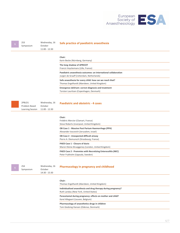

| <b>2S3</b><br>Symposium                            | Wednesday, 16<br>October<br>11:00 - 12:30   | Safe practice of paediatric anaesthesia                                                                      |
|----------------------------------------------------|---------------------------------------------|--------------------------------------------------------------------------------------------------------------|
|                                                    |                                             | Chair:<br>Karin Becke (Nürnberg, Germany)                                                                    |
|                                                    |                                             | The long shadow of APRICOT<br>Francis Veyckemans (Lille, France)                                             |
|                                                    |                                             | Paediatric anaesthesia outcomes: an international collaboration<br>Jurgen de Graaff (rotterdam, Netherlands) |
|                                                    |                                             | Safe anaesthesia for every child: how can we reach that?<br>Thomas Engelhardt (Aberdeen, United Kingdom)     |
|                                                    |                                             | Emergence delirium: correct diagnosis and treatment<br>Torsten Lauritsen (Copenhagen, Denmark)               |
|                                                    |                                             |                                                                                                              |
| 2PBLD1<br>Problem Based<br><b>Learning Session</b> | Wednesday, 16<br>October<br>$11:00 - 12:30$ | <b>Paediatric and obstetric - 4 cases</b>                                                                    |
|                                                    |                                             | Chair:<br>Frédéric Mercier (Clamart, France)<br>Steve Roberts (Liverpool, United Kingdom)                    |
|                                                    |                                             | OB Case 1 - Massive Post Partum Haemorrhage (PPH)<br>Alexander Ioscovich (Jerusalem, Israel)                 |
|                                                    |                                             | OB Case 2 - Unexpected difficult airway<br>Pierre A. Diemunsch (Strasbourg, France)                          |
|                                                    |                                             | <b>PAED Case 1 - Closure of ducts</b><br>Maren Kleine-Brueggeney (London, United Kingdom)                    |
|                                                    |                                             | <b>PAED Case 2 - Premmies with Necrotizing Enterocolitis (NEC)</b><br>Peter Frykholm (Uppsala, Sweden)       |
|                                                    |                                             |                                                                                                              |
| <b>2S4</b><br>Symposium                            | Wednesday, 16<br>October<br>14:30 - 15:30   | <b>Pharmacology in pregnancy and childhood</b>                                                               |
|                                                    |                                             | Chair:<br>Thomas Engelhardt (Aberdeen, United Kingdom)                                                       |
|                                                    |                                             | Individualised anaesthesia and drug therapy during pregnancy?<br>Ruth Landau (New York, United States)       |
|                                                    |                                             | Paracetamol during pregnancy: effects on mother and child?<br>Karel Allegaert (Leuven, Belgium)              |
|                                                    |                                             | Pharmacology of anaesthetics drugs in children<br>Tom Giedsing Hansen (Odense, Denmark)                      |
|                                                    |                                             |                                                                                                              |